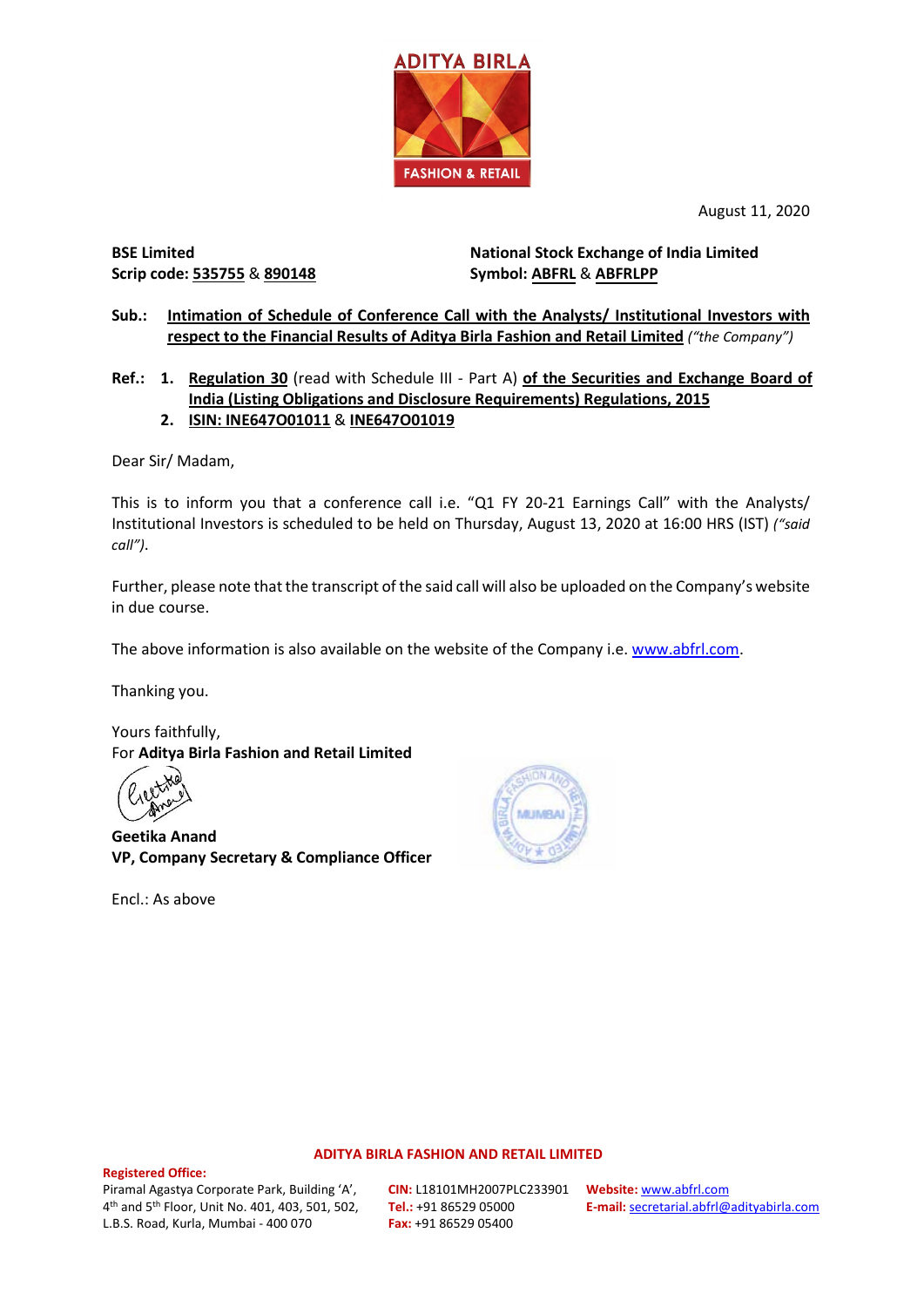

August 11, 2020

**BSE Limited Scrip code: 535755** & **890148**

**National Stock Exchange of India Limited Symbol: ABFRL** & **ABFRLPP**

## **Sub.: Intimation of Schedule of Conference Call with the Analysts/ Institutional Investors with respect to the Financial Results of Aditya Birla Fashion and Retail Limited** *("the Company")*

**Ref.: 1. Regulation 30** (read with Schedule III - Part A) **of the Securities and Exchange Board of India (Listing Obligations and Disclosure Requirements) Regulations, 2015 2. ISIN: INE647O01011** & **INE647O01019**

Dear Sir/ Madam,

This is to inform you that a conference call i.e. "Q1 FY 20-21 Earnings Call" with the Analysts/ Institutional Investors is scheduled to be held on Thursday, August 13, 2020 at 16:00 HRS (IST) *("said call")*.

Further, please note that the transcript of the said call will also be uploaded on the Company's website in due course.

The above information is also available on the website of the Company i.e. [www.abfrl.com.](http://www.abfrl.com/)

Thanking you.

Yours faithfully, For **Aditya Birla Fashion and Retail Limited**

**Geetika Anand VP, Company Secretary & Compliance Officer**

Encl.: As above



### **ADITYA BIRLA FASHION AND RETAIL LIMITED**

#### **Registered Office:**

Piramal Agastya Corporate Park, Building 'A', 4th and 5th Floor, Unit No. 401, 403, 501, 502, L.B.S. Road, Kurla, Mumbai - 400 070

**CIN:** L18101MH2007PLC233901 **Tel.:** +91 86529 05000 **Fax:** +91 86529 05400

**Website:** [www.abfrl.com](http://www.abfrl.com/) **E-mail:** [secretarial.abfrl@adityabirla.com](mailto:secretarial.abfrl@adityabirla.com)